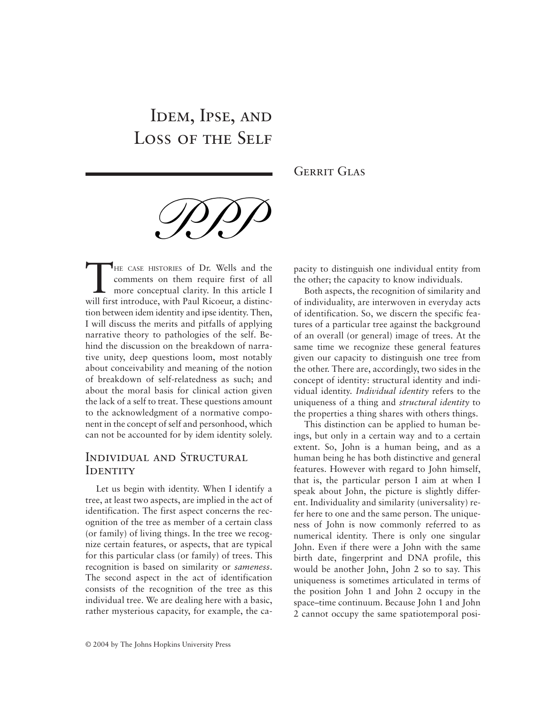# IDEM, IPSE, AND Loss of the Self

# GERRIT GLAS

HE CASE HISTORIES of Dr. Wells and the comments on them require first of all more conceptual clarity. In this article I will first introduce, with Paul Ricoeur, a distinction between idem identity and ipse identity. Then, I will discuss the merits and pitfalls of applying narrative theory to pathologies of the self. Behind the discussion on the breakdown of narrative unity, deep questions loom, most notably about conceivability and meaning of the notion of breakdown of self-relatedness as such; and about the moral basis for clinical action given the lack of a self to treat. These questions amount to the acknowledgment of a normative component in the concept of self and personhood, which can not be accounted for by idem identity solely.

# Individual and Structural **IDENTITY**

Let us begin with identity. When I identify a tree, at least two aspects, are implied in the act of identification. The first aspect concerns the recognition of the tree as member of a certain class (or family) of living things. In the tree we recognize certain features, or aspects, that are typical for this particular class (or family) of trees. This recognition is based on similarity or *sameness*. The second aspect in the act of identification consists of the recognition of the tree as this individual tree. We are dealing here with a basic, rather mysterious capacity, for example, the capacity to distinguish one individual entity from the other; the capacity to know individuals.

Both aspects, the recognition of similarity and of individuality, are interwoven in everyday acts of identification. So, we discern the specific features of a particular tree against the background of an overall (or general) image of trees. At the same time we recognize these general features given our capacity to distinguish one tree from the other. There are, accordingly, two sides in the concept of identity: structural identity and individual identity. *Individual identity* refers to the uniqueness of a thing and *structural identity* to the properties a thing shares with others things.

This distinction can be applied to human beings, but only in a certain way and to a certain extent. So, John is a human being, and as a human being he has both distinctive and general features. However with regard to John himself, that is, the particular person I aim at when I speak about John, the picture is slightly different. Individuality and similarity (universality) refer here to one and the same person. The uniqueness of John is now commonly referred to as numerical identity. There is only one singular John. Even if there were a John with the same birth date, fingerprint and DNA profile, this would be another John, John 2 so to say. This uniqueness is sometimes articulated in terms of the position John 1 and John 2 occupy in the space–time continuum. Because John 1 and John 2 cannot occupy the same spatiotemporal posi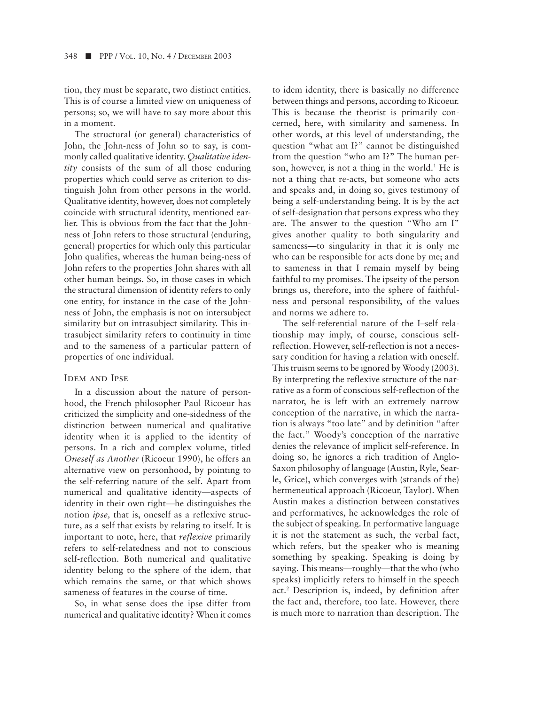tion, they must be separate, two distinct entities. This is of course a limited view on uniqueness of persons; so, we will have to say more about this in a moment.

The structural (or general) characteristics of John, the John-ness of John so to say, is commonly called qualitative identity. *Qualitative identity* consists of the sum of all those enduring properties which could serve as criterion to distinguish John from other persons in the world. Qualitative identity, however, does not completely coincide with structural identity, mentioned earlier. This is obvious from the fact that the Johnness of John refers to those structural (enduring, general) properties for which only this particular John qualifies, whereas the human being-ness of John refers to the properties John shares with all other human beings. So, in those cases in which the structural dimension of identity refers to only one entity, for instance in the case of the Johnness of John, the emphasis is not on intersubject similarity but on intrasubject similarity. This intrasubject similarity refers to continuity in time and to the sameness of a particular pattern of properties of one individual.

### IDEM AND IPSE

In a discussion about the nature of personhood, the French philosopher Paul Ricoeur has criticized the simplicity and one-sidedness of the distinction between numerical and qualitative identity when it is applied to the identity of persons. In a rich and complex volume, titled *Oneself as Another* (Ricoeur 1990), he offers an alternative view on personhood, by pointing to the self-referring nature of the self. Apart from numerical and qualitative identity—aspects of identity in their own right—he distinguishes the notion *ipse,* that is, oneself as a reflexive structure, as a self that exists by relating to itself. It is important to note, here, that *reflexive* primarily refers to self-relatedness and not to conscious self-reflection. Both numerical and qualitative identity belong to the sphere of the idem, that which remains the same, or that which shows sameness of features in the course of time.

So, in what sense does the ipse differ from numerical and qualitative identity? When it comes to idem identity, there is basically no difference between things and persons, according to Ricoeur. This is because the theorist is primarily concerned, here, with similarity and sameness. In other words, at this level of understanding, the question "what am I?" cannot be distinguished from the question "who am I?" The human person, however, is not a thing in the world.<sup>1</sup> He is not a thing that re-acts, but someone who acts and speaks and, in doing so, gives testimony of being a self-understanding being. It is by the act of self-designation that persons express who they are. The answer to the question "Who am I" gives another quality to both singularity and sameness—to singularity in that it is only me who can be responsible for acts done by me; and to sameness in that I remain myself by being faithful to my promises. The ipseity of the person brings us, therefore, into the sphere of faithfulness and personal responsibility, of the values and norms we adhere to.

The self-referential nature of the I–self relationship may imply, of course, conscious selfreflection. However, self-reflection is not a necessary condition for having a relation with oneself. This truism seems to be ignored by Woody (2003). By interpreting the reflexive structure of the narrative as a form of conscious self-reflection of the narrator, he is left with an extremely narrow conception of the narrative, in which the narration is always "too late" and by definition "after the fact." Woody's conception of the narrative denies the relevance of implicit self-reference. In doing so, he ignores a rich tradition of Anglo-Saxon philosophy of language (Austin, Ryle, Searle, Grice), which converges with (strands of the) hermeneutical approach (Ricoeur, Taylor). When Austin makes a distinction between constatives and performatives, he acknowledges the role of the subject of speaking. In performative language it is not the statement as such, the verbal fact, which refers, but the speaker who is meaning something by speaking. Speaking is doing by saying. This means—roughly—that the who (who speaks) implicitly refers to himself in the speech act.2 Description is, indeed, by definition after the fact and, therefore, too late. However, there is much more to narration than description. The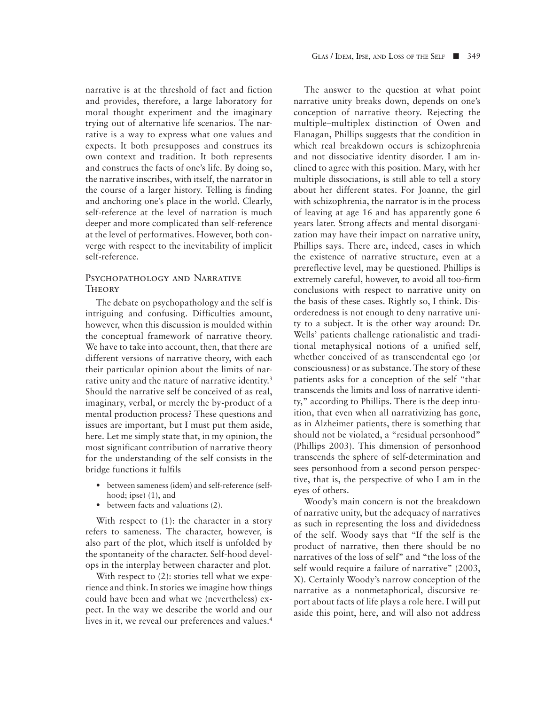narrative is at the threshold of fact and fiction and provides, therefore, a large laboratory for moral thought experiment and the imaginary trying out of alternative life scenarios. The narrative is a way to express what one values and expects. It both presupposes and construes its own context and tradition. It both represents and construes the facts of one's life. By doing so, the narrative inscribes, with itself, the narrator in the course of a larger history. Telling is finding and anchoring one's place in the world. Clearly, self-reference at the level of narration is much deeper and more complicated than self-reference at the level of performatives. However, both converge with respect to the inevitability of implicit self-reference.

# Psychopathology and Narrative **THEORY**

The debate on psychopathology and the self is intriguing and confusing. Difficulties amount, however, when this discussion is moulded within the conceptual framework of narrative theory. We have to take into account, then, that there are different versions of narrative theory, with each their particular opinion about the limits of narrative unity and the nature of narrative identity.<sup>3</sup> Should the narrative self be conceived of as real, imaginary, verbal, or merely the by-product of a mental production process? These questions and issues are important, but I must put them aside, here. Let me simply state that, in my opinion, the most significant contribution of narrative theory for the understanding of the self consists in the bridge functions it fulfils

- between sameness (idem) and self-reference (selfhood; ipse) (1), and
- between facts and valuations (2).

With respect to (1): the character in a story refers to sameness. The character, however, is also part of the plot, which itself is unfolded by the spontaneity of the character. Self-hood develops in the interplay between character and plot.

With respect to (2): stories tell what we experience and think. In stories we imagine how things could have been and what we (nevertheless) expect. In the way we describe the world and our lives in it, we reveal our preferences and values.<sup>4</sup>

The answer to the question at what point narrative unity breaks down, depends on one's conception of narrative theory. Rejecting the multiple–multiplex distinction of Owen and Flanagan, Phillips suggests that the condition in which real breakdown occurs is schizophrenia and not dissociative identity disorder. I am inclined to agree with this position. Mary, with her multiple dissociations, is still able to tell a story about her different states. For Joanne, the girl with schizophrenia, the narrator is in the process of leaving at age 16 and has apparently gone 6 years later. Strong affects and mental disorganization may have their impact on narrative unity, Phillips says. There are, indeed, cases in which the existence of narrative structure, even at a prereflective level, may be questioned. Phillips is extremely careful, however, to avoid all too-firm conclusions with respect to narrative unity on the basis of these cases. Rightly so, I think. Disorderedness is not enough to deny narrative unity to a subject. It is the other way around: Dr. Wells' patients challenge rationalistic and traditional metaphysical notions of a unified self, whether conceived of as transcendental ego (or consciousness) or as substance. The story of these patients asks for a conception of the self "that transcends the limits and loss of narrative identity," according to Phillips. There is the deep intuition, that even when all narrativizing has gone, as in Alzheimer patients, there is something that should not be violated, a "residual personhood" (Phillips 2003). This dimension of personhood transcends the sphere of self-determination and sees personhood from a second person perspective, that is, the perspective of who I am in the eyes of others.

Woody's main concern is not the breakdown of narrative unity, but the adequacy of narratives as such in representing the loss and dividedness of the self. Woody says that "If the self is the product of narrative, then there should be no narratives of the loss of self" and "the loss of the self would require a failure of narrative" (2003, X). Certainly Woody's narrow conception of the narrative as a nonmetaphorical, discursive report about facts of life plays a role here. I will put aside this point, here, and will also not address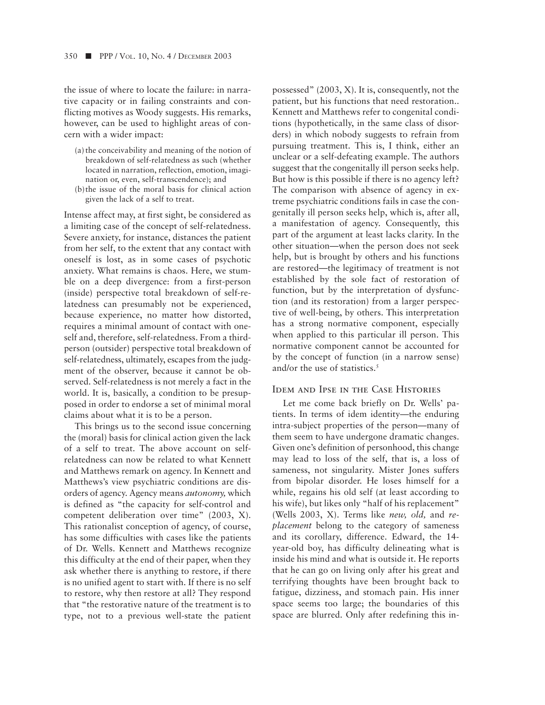the issue of where to locate the failure: in narrative capacity or in failing constraints and conflicting motives as Woody suggests. His remarks, however, can be used to highlight areas of concern with a wider impact:

- (a) the conceivability and meaning of the notion of breakdown of self-relatedness as such (whether located in narration, reflection, emotion, imagination or, even, self-transcendence); and
- (b)the issue of the moral basis for clinical action given the lack of a self to treat.

Intense affect may, at first sight, be considered as a limiting case of the concept of self-relatedness. Severe anxiety, for instance, distances the patient from her self, to the extent that any contact with oneself is lost, as in some cases of psychotic anxiety. What remains is chaos. Here, we stumble on a deep divergence: from a first-person (inside) perspective total breakdown of self-relatedness can presumably not be experienced, because experience, no matter how distorted, requires a minimal amount of contact with oneself and, therefore, self-relatedness. From a thirdperson (outsider) perspective total breakdown of self-relatedness, ultimately, escapes from the judgment of the observer, because it cannot be observed. Self-relatedness is not merely a fact in the world. It is, basically, a condition to be presupposed in order to endorse a set of minimal moral claims about what it is to be a person.

This brings us to the second issue concerning the (moral) basis for clinical action given the lack of a self to treat. The above account on selfrelatedness can now be related to what Kennett and Matthews remark on agency. In Kennett and Matthews's view psychiatric conditions are disorders of agency. Agency means *autonomy,* which is defined as "the capacity for self-control and competent deliberation over time" (2003, X). This rationalist conception of agency, of course, has some difficulties with cases like the patients of Dr. Wells. Kennett and Matthews recognize this difficulty at the end of their paper, when they ask whether there is anything to restore, if there is no unified agent to start with. If there is no self to restore, why then restore at all? They respond that "the restorative nature of the treatment is to type, not to a previous well-state the patient possessed" (2003, X). It is, consequently, not the patient, but his functions that need restoration.. Kennett and Matthews refer to congenital conditions (hypothetically, in the same class of disorders) in which nobody suggests to refrain from pursuing treatment. This is, I think, either an unclear or a self-defeating example. The authors suggest that the congenitally ill person seeks help. But how is this possible if there is no agency left? The comparison with absence of agency in extreme psychiatric conditions fails in case the congenitally ill person seeks help, which is, after all, a manifestation of agency. Consequently, this part of the argument at least lacks clarity. In the other situation—when the person does not seek help, but is brought by others and his functions are restored—the legitimacy of treatment is not established by the sole fact of restoration of function, but by the interpretation of dysfunction (and its restoration) from a larger perspective of well-being, by others. This interpretation has a strong normative component, especially when applied to this particular ill person. This normative component cannot be accounted for by the concept of function (in a narrow sense) and/or the use of statistics.<sup>5</sup>

# Idem and Ipse in the Case Histories

Let me come back briefly on Dr. Wells' patients. In terms of idem identity—the enduring intra-subject properties of the person—many of them seem to have undergone dramatic changes. Given one's definition of personhood, this change may lead to loss of the self, that is, a loss of sameness, not singularity. Mister Jones suffers from bipolar disorder. He loses himself for a while, regains his old self (at least according to his wife), but likes only "half of his replacement" (Wells 2003, X). Terms like *new, old,* and *replacement* belong to the category of sameness and its corollary, difference. Edward, the 14 year-old boy, has difficulty delineating what is inside his mind and what is outside it. He reports that he can go on living only after his great and terrifying thoughts have been brought back to fatigue, dizziness, and stomach pain. His inner space seems too large; the boundaries of this space are blurred. Only after redefining this in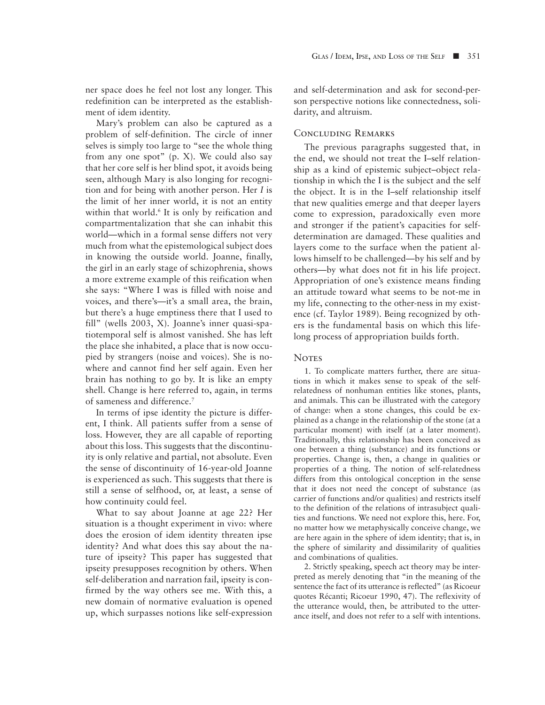ner space does he feel not lost any longer. This redefinition can be interpreted as the establishment of idem identity.

Mary's problem can also be captured as a problem of self-definition. The circle of inner selves is simply too large to "see the whole thing from any one spot" (p. X). We could also say that her core self is her blind spot, it avoids being seen, although Mary is also longing for recognition and for being with another person. Her *I* is the limit of her inner world, it is not an entity within that world.<sup>6</sup> It is only by reification and compartmentalization that she can inhabit this world—which in a formal sense differs not very much from what the epistemological subject does in knowing the outside world. Joanne, finally, the girl in an early stage of schizophrenia, shows a more extreme example of this reification when she says: "Where I was is filled with noise and voices, and there's—it's a small area, the brain, but there's a huge emptiness there that I used to fill" (wells 2003, X). Joanne's inner quasi-spatiotemporal self is almost vanished. She has left the place she inhabited, a place that is now occupied by strangers (noise and voices). She is nowhere and cannot find her self again. Even her brain has nothing to go by. It is like an empty shell. Change is here referred to, again, in terms of sameness and difference.7

In terms of ipse identity the picture is different, I think. All patients suffer from a sense of loss. However, they are all capable of reporting about this loss. This suggests that the discontinuity is only relative and partial, not absolute. Even the sense of discontinuity of 16-year-old Joanne is experienced as such. This suggests that there is still a sense of selfhood, or, at least, a sense of how continuity could feel.

What to say about Joanne at age 22? Her situation is a thought experiment in vivo: where does the erosion of idem identity threaten ipse identity? And what does this say about the nature of ipseity? This paper has suggested that ipseity presupposes recognition by others. When self-deliberation and narration fail, ipseity is confirmed by the way others see me. With this, a new domain of normative evaluation is opened up, which surpasses notions like self-expression and self-determination and ask for second-person perspective notions like connectedness, solidarity, and altruism.

## Concluding Remarks

The previous paragraphs suggested that, in the end, we should not treat the I–self relationship as a kind of epistemic subject–object relationship in which the I is the subject and the self the object. It is in the I–self relationship itself that new qualities emerge and that deeper layers come to expression, paradoxically even more and stronger if the patient's capacities for selfdetermination are damaged. These qualities and layers come to the surface when the patient allows himself to be challenged—by his self and by others—by what does not fit in his life project. Appropriation of one's existence means finding an attitude toward what seems to be not-me in my life, connecting to the other-ness in my existence (cf. Taylor 1989). Being recognized by others is the fundamental basis on which this lifelong process of appropriation builds forth.

## **NOTES**

1. To complicate matters further, there are situations in which it makes sense to speak of the selfrelatedness of nonhuman entities like stones, plants, and animals. This can be illustrated with the category of change: when a stone changes, this could be explained as a change in the relationship of the stone (at a particular moment) with itself (at a later moment). Traditionally, this relationship has been conceived as one between a thing (substance) and its functions or properties. Change is, then, a change in qualities or properties of a thing. The notion of self-relatedness differs from this ontological conception in the sense that it does not need the concept of substance (as carrier of functions and/or qualities) and restricts itself to the definition of the relations of intrasubject qualities and functions. We need not explore this, here. For, no matter how we metaphysically conceive change, we are here again in the sphere of idem identity; that is, in the sphere of similarity and dissimilarity of qualities and combinations of qualities.

2. Strictly speaking, speech act theory may be interpreted as merely denoting that "in the meaning of the sentence the fact of its utterance is reflected" (as Ricoeur quotes Récanti; Ricoeur 1990, 47). The reflexivity of the utterance would, then, be attributed to the utterance itself, and does not refer to a self with intentions.